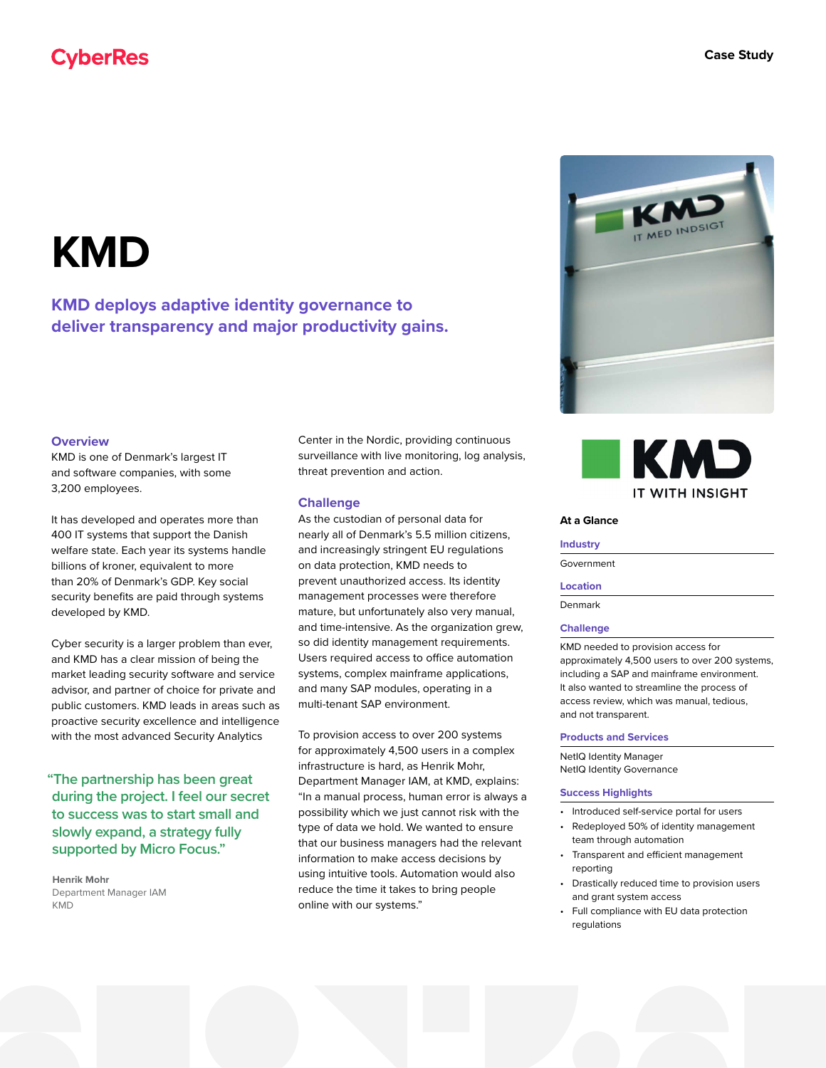# **CyberRes**

# **KMD**

**KMD deploys adaptive identity governance to deliver transparency and major productivity gains.**

### **Overview**

KMD is one of Denmark's largest IT and software companies, with some 3,200 employees.

It has developed and operates more than 400 IT systems that support the Danish welfare state. Each year its systems handle billions of kroner, equivalent to more than 20% of Denmark's GDP. Key social security benefits are paid through systems developed by KMD.

Cyber security is a larger problem than ever, and KMD has a clear mission of being the market leading security software and service advisor, and partner of choice for private and public customers. KMD leads in areas such as proactive security excellence and intelligence with the most advanced Security Analytics

**"The partnership has been great during the project. I feel our secret to success was to start small and slowly expand, a strategy fully supported by Micro Focus."**

**Henrik Mohr** Department Manager IAM KMD

Center in the Nordic, providing continuous surveillance with live monitoring, log analysis, threat prevention and action.

#### **Challenge**

As the custodian of personal data for nearly all of Denmark's 5.5 million citizens, and increasingly stringent EU regulations on data protection, KMD needs to prevent unauthorized access. Its identity management processes were therefore mature, but unfortunately also very manual, and time-intensive. As the organization grew, so did identity management requirements. Users required access to office automation systems, complex mainframe applications, and many SAP modules, operating in a multi-tenant SAP environment.

To provision access to over 200 systems for approximately 4,500 users in a complex infrastructure is hard, as Henrik Mohr, Department Manager IAM, at KMD, explains: "In a manual process, human error is always a possibility which we just cannot risk with the type of data we hold. We wanted to ensure that our business managers had the relevant information to make access decisions by using intuitive tools. Automation would also reduce the time it takes to bring people online with our systems."





#### **At a Glance**

#### **Industry**

Government

#### **Location**

Denmark

#### **Challenge**

KMD needed to provision access for approximately 4,500 users to over 200 systems, including a SAP and mainframe environment. It also wanted to streamline the process of access review, which was manual, tedious, and not transparent.

#### **Products and Services**

NetIQ Identity Manager NetIQ Identity Governance

#### **Success Highlights**

• Introduced self-service portal for users

- Redeployed 50% of identity management team through automation
- Transparent and efficient management reporting
- Drastically reduced time to provision users and grant system access
- Full compliance with EU data protection regulations